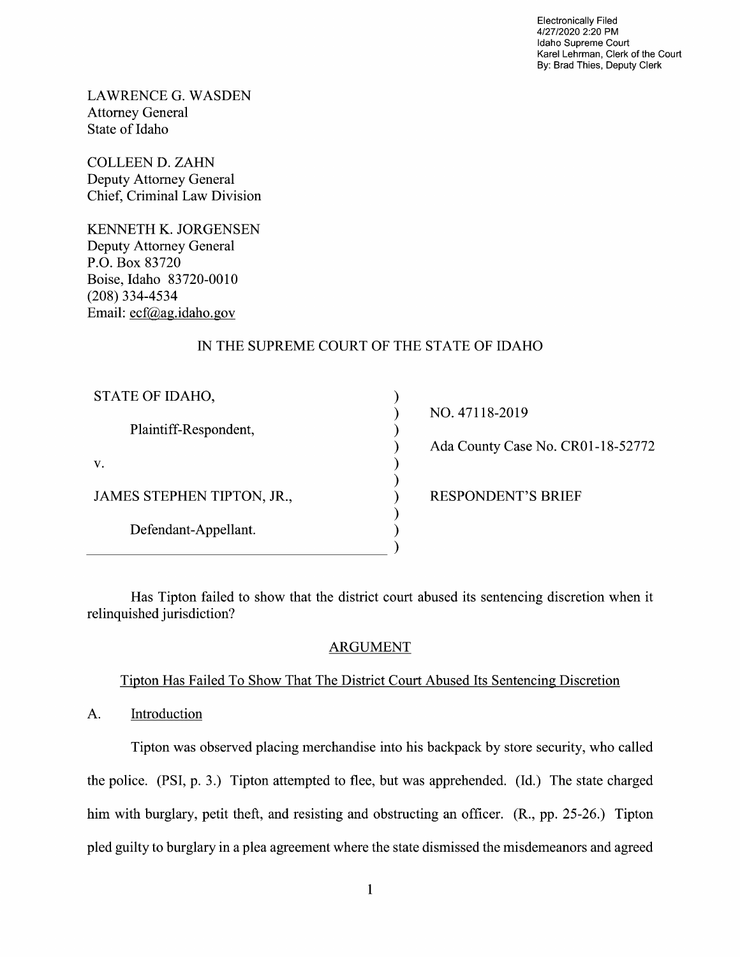Electronically Filed 4/27/2020 2:20 PM Idaho Supreme Court Karel Lehrman, Clerk of the Court By: Brad Thies, Deputy Clerk

LAWRENCE G.WASDEN Attorney General State 0f Idaho

COLLEEN D. ZAHN Deputy Attorney General Chief, Criminal Law Division

KENNETH K. JORGENSEN Deputy Attorney General P.O. BOX 83720 Boise, Idaho 83720-00 (208) 334-4534 Email: ecf@ag.idaho.gov

# IN THE SUPREME COURT OF THE STATE OF IDAHO

| STATE OF IDAHO,            |
|----------------------------|
| Plaintiff-Respondent,      |
| V.                         |
| JAMES STEPHEN TIPTON, JR., |
| Defendant-Appellant.       |
|                            |

NO. 471 18-2019 Ada County Case No. CR01-18-52772

) RESPONDENT'S BRIEF

Has Tipton failed to show that the district court abused its sentencing discretion When it relinquished jurisdiction?

vvvvvvvvvv

 $\mathcal{Y}$  $\mathcal{E}$  $\mathcal{E}$ 

## ARGUMENT

## Tipton Has Failed To Show That The District Court Abused Its Sentencing Discretion

A. Introduction

Tipton was observed placing merchandise into his backpack by store security, Who called the police. (PSI, p. 3.) Tipton attempted t0 flee, but was apprehended. (Id.) The state charged him with burglary, petit theft, and resisting and obstructing an officer. (R., pp. 25-26.) Tipton pled guilty to burglary in a plea agreement where the state dismissed the misdemeanors and agreed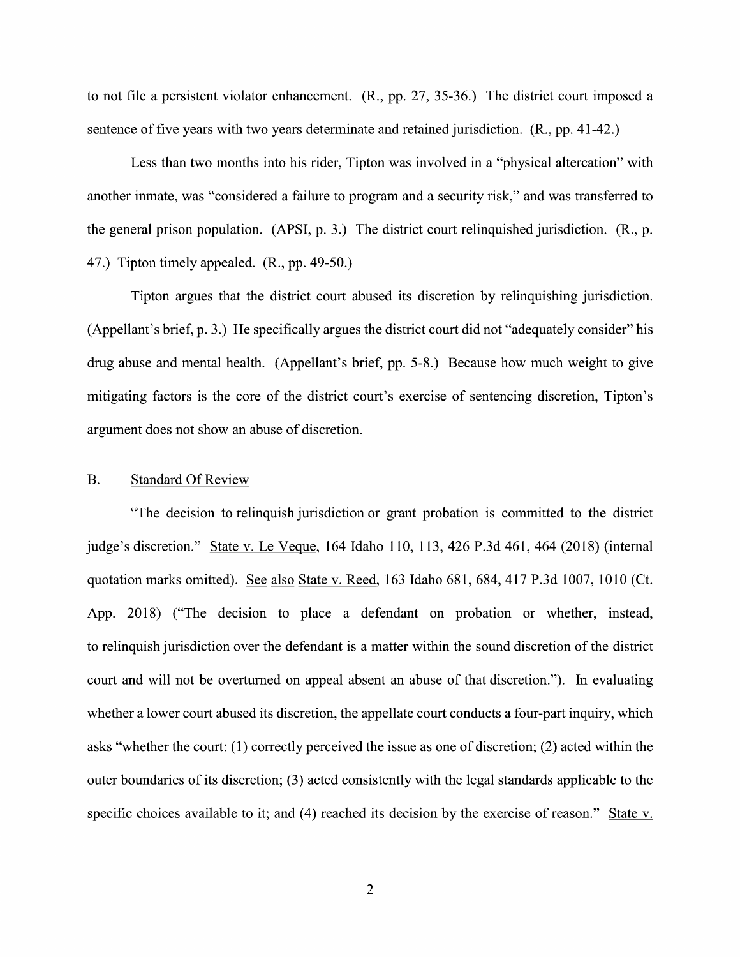to not file a persistent violator enhancement.  $(R., pp. 27, 35-36.)$  The district court imposed a sentence of five years with two years determinate and retained jurisdiction. (R., pp. 41-42.)

Less than two months into his rider, Tipton was involved in a "physical altercation" with another inmate, was "considered a failure to program and a security risk," and was transferred to the general prison population. (APSI, p. 3.) The district court relinquished jurisdiction. (R., p. 47.) Tipton timely appealed. (R., pp. 49-50.)

Tipton argues that the district court abused its discretion by relinquishing jurisdiction. (Appellant's brief, p. 3.) He specifically argues the district court did not "adequately consider" his drug abuse and mental health. (Appellant's brief, pp. 5-8.) Because how much weight to give mitigating factors is the core of the district court's exercise of sentencing discretion, Tipton's argument does not show an abuse 0f discretion.

#### B. Standard Of Review

"The decision t0 relinquish jurisdiction 0r grant probation is committed t0 the district judge's discretion." State v. Le Veque, 164 Idaho 110, 113, 426 P.3d 461, 464 (2018) (internal quotation marks omitted). See also State v. Reed, 163 Idaho 681, 684, 417 P.3d 1007, 1010 (Ct. App. 2018) ("The decision to place a defendant on probation or whether, instead, to relinquish jurisdiction over the defendant is a matter within the sound discretion of the district court and will not be overturned 0n appeal absent an abuse 0f that discretion"). In evaluating whether a lower court abused its discretion, the appellate court conducts a four-part inquiry, which asks "whether the court: (1) correctly perceived the issue as one 0f discretion; (2) acted within the outer boundaries 0f its discretion; (3) acted consistently With the legal standards applicable to the specific choices available to it; and (4) reached its decision by the exercise of reason." State v.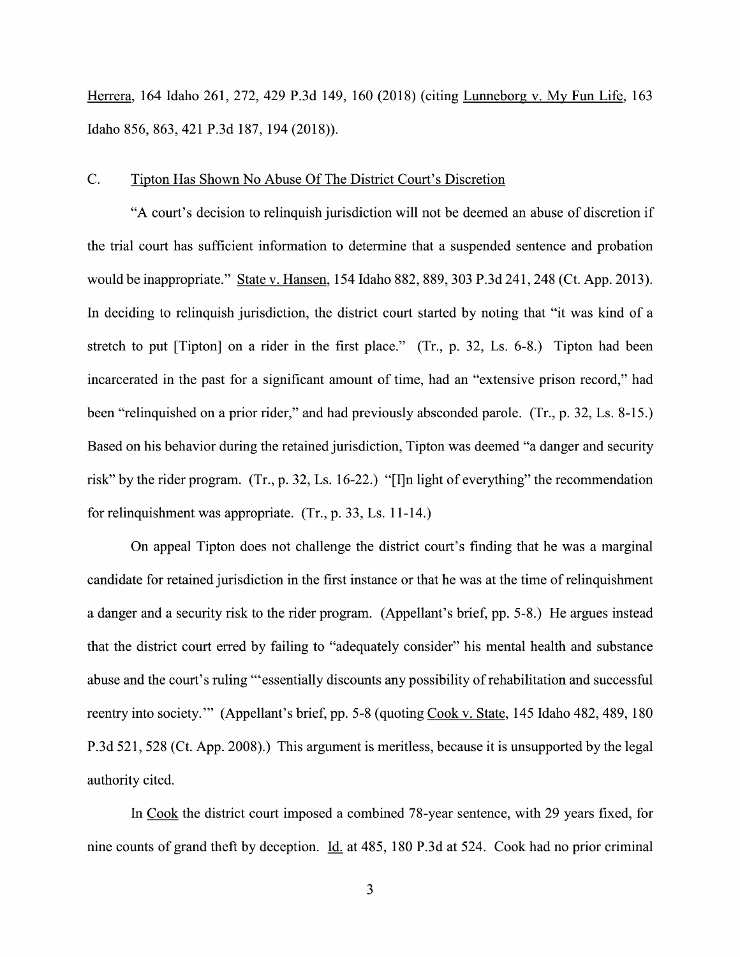Herrera, <sup>164</sup> Idaho 261, 272, <sup>429</sup> P.3d 149, <sup>160</sup> (2018) (citing Lunneborg V. MV Fun Life, <sup>163</sup> Idaho 856, 863, 421 P.3d 187, 194 (2018)).

### C. Tipton Has Shown N0 Abuse Of The District Court's Discretion

"A court's decision to relinquish jurisdiction Will not be deemed an abuse 0f discretion if the trial court has sufficient information to determine that a suspended sentence and probation would be inappropriate." State v. Hansen, 154 Idaho 882, 889, 303 P.3d 241, 248 (Ct. App. 2013). In deciding to relinquish jurisdiction, the district court started by noting that "it was kind of a stretch to put [Tipton] on a rider in the first place." (Tr., p. 32, Ls.  $6-8$ .) Tipton had been incarcerated in the past for a significant amount of time, had an "extensive prison record," had been "relinquished on a prior rider," and had previously absconded parole. (Tr., p. 32, Ls. 8-15.) Based on his behavior during the retained jurisdiction, Tipton was deemed "a danger and security risk" by the rider program. (Tr., p. 32, Ls. 16-22.) "[I]n light of everything" the recommendation for relinquishment was appropriate.  $(Tr, p. 33, Ls. 11-14.)$ 

On appeal Tipton does not challenge the district court's finding that he was a marginal candidate for retained jurisdiction in the first instance 0r that he was at the time 0f relinquishment a danger and a security risk to the rider program. (Appellant's brief, pp. 5-8.) He argues instead that the district court erred by failing to "adequately consider" his mental health and substance abuse and the court's ruling "'essentially discounts any possibility 0f rehabilitation and successful reentry into society." (Appellant's brief, pp. 5-8 (quoting Cook V. State, 145 Idaho 482, 489, 180 P.3d 521, 528 (Ct. App. 2008).) This argument is meritless, because it is unsupported by the legal authority cited.

In Cook the district court imposed a combined 78-year sentence, with 29 years fixed, for nine counts of grand theft by deception. Id. at 485, 180 P.3d at 524. Cook had no prior criminal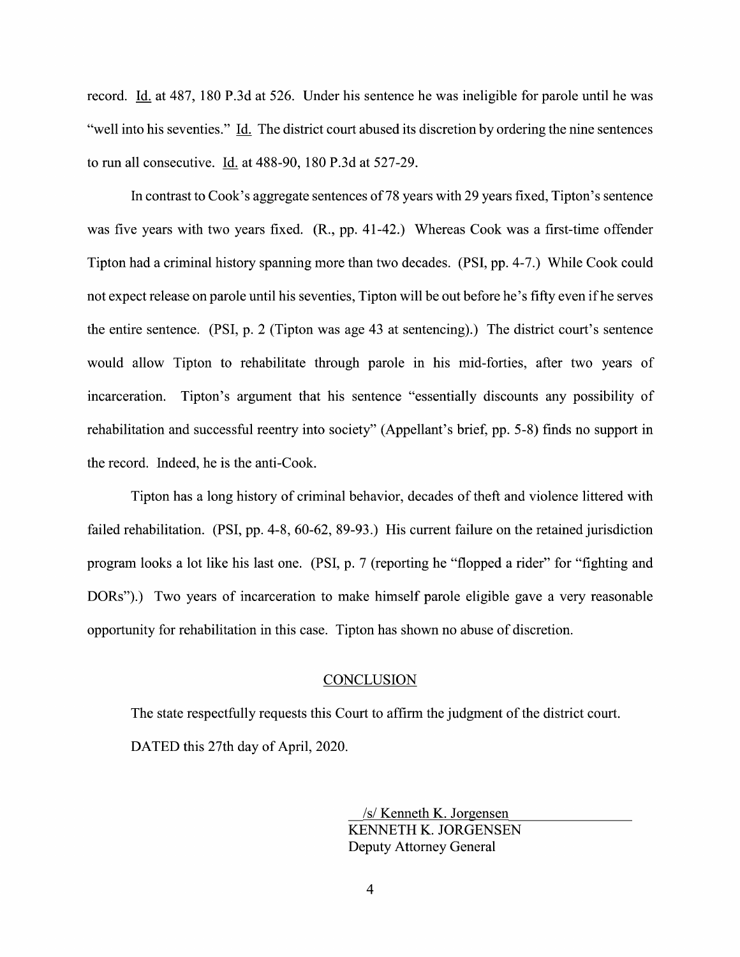record. Id. at 487, 180 P.3d at 526. Under his sentence he was ineligible for parole until he was "well into his seventies." Id. The district court abused its discretion by ordering the nine sentences to run all consecutive. Id. at 488-90, 180 P.3d at 527-29.

In contrast to Cook's aggregate sentences of 78 years with 29 years fixed, Tipton's sentence was five years with two years fixed.  $(R., pp. 41-42.)$  Whereas Cook was a first-time offender Tipton had a criminal history spanning more than two decades. (PSI, pp. 4-7.) While Cook could not expect release on parole until his seventies, Tipton will be out before he's fifty even ifhe serves the entire sentence. (PSI, p. 2 (Tipton was age 43 at sentencing).) The district court's sentence would allow Tipton to rehabilitate through parole in his mid-forties, after two years of incarceration. Tipton's argument that his sentence "essentially discounts any possibility of rehabilitation and successful reentry into society" (Appellant's brief, pp. 5-8) finds no support in the record. Indeed, he is the anti-Cook.

Tipton has a long history of criminal behavior, decades of theft and violence littered with failed rehabilitation. (PSI, pp. 4-8, 60-62, 89-93.) His current failure on the retained jurisdiction program looks a lot like his last one. (PSI, p. 7 (reporting he "flopped a rider" for "fighting and DORs").) Two years of incarceration to make himself parole eligible gave a very reasonable opportunity for rehabilitation in this case. Tipton has shown n0 abuse of discretion.

#### **CONCLUSION**

The state respectfully requests this Court to affirm the judgment of the district court. DATED this 27th day of April, 2020.

> \_/s/ Kenneth K. Jorgensen KENNETH K. JORGENSEN Deputy Attorney General